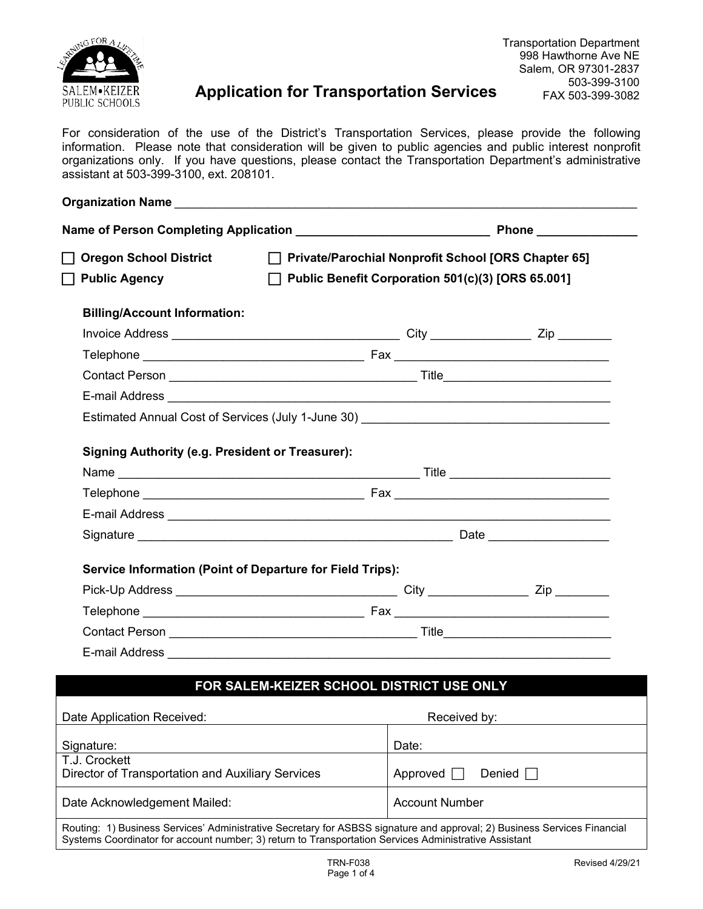

# **Application for Transportation Services**

For consideration of the use of the District's Transportation Services, please provide the following information. Please note that consideration will be given to public agencies and public interest nonprofit organizations only. If you have questions, please contact the Transportation Department's administrative assistant at 503-399-3100, ext. 208101.

| <b>Oregon School District</b>                                      |                                                   | □ Private/Parochial Nonprofit School [ORS Chapter 65]                                                                    |                       |  |
|--------------------------------------------------------------------|---------------------------------------------------|--------------------------------------------------------------------------------------------------------------------------|-----------------------|--|
| <b>Public Agency</b>                                               | Public Benefit Corporation 501(c)(3) [ORS 65.001] |                                                                                                                          |                       |  |
| <b>Billing/Account Information:</b>                                |                                                   |                                                                                                                          |                       |  |
|                                                                    |                                                   |                                                                                                                          |                       |  |
|                                                                    |                                                   |                                                                                                                          |                       |  |
|                                                                    |                                                   |                                                                                                                          |                       |  |
|                                                                    |                                                   |                                                                                                                          |                       |  |
|                                                                    |                                                   |                                                                                                                          |                       |  |
|                                                                    |                                                   |                                                                                                                          |                       |  |
| <b>Signing Authority (e.g. President or Treasurer):</b>            |                                                   |                                                                                                                          |                       |  |
|                                                                    |                                                   |                                                                                                                          |                       |  |
|                                                                    |                                                   |                                                                                                                          |                       |  |
|                                                                    |                                                   |                                                                                                                          |                       |  |
|                                                                    |                                                   |                                                                                                                          |                       |  |
| <b>Service Information (Point of Departure for Field Trips):</b>   |                                                   |                                                                                                                          |                       |  |
|                                                                    |                                                   |                                                                                                                          |                       |  |
|                                                                    |                                                   |                                                                                                                          |                       |  |
|                                                                    |                                                   |                                                                                                                          |                       |  |
|                                                                    |                                                   |                                                                                                                          |                       |  |
|                                                                    |                                                   |                                                                                                                          |                       |  |
|                                                                    |                                                   | FOR SALEM-KEIZER SCHOOL DISTRICT USE ONLY                                                                                |                       |  |
| Date Application Received:                                         |                                                   | Received by:                                                                                                             |                       |  |
| Signature:                                                         |                                                   | Date:                                                                                                                    |                       |  |
| T.J. Crockett<br>Director of Transportation and Auxiliary Services |                                                   | Approved                                                                                                                 | Denied                |  |
| Date Acknowledgement Mailed:                                       |                                                   |                                                                                                                          | <b>Account Number</b> |  |
|                                                                    |                                                   | Routing: 1) Business Services' Administrative Secretary for ASBSS signature and approval; 2) Business Services Financial |                       |  |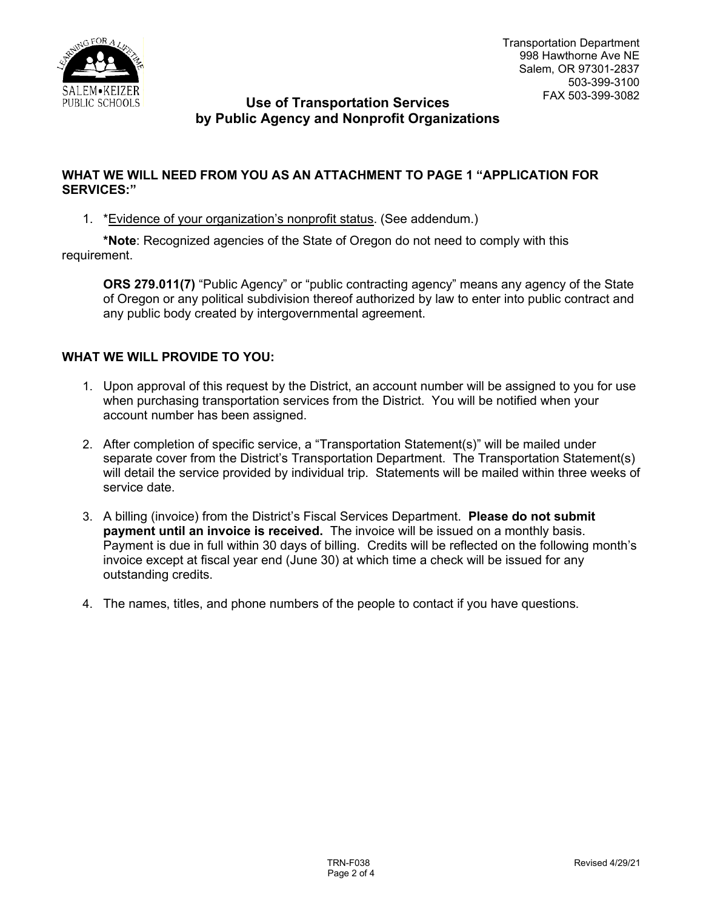

## **Use of Transportation Services by Public Agency and Nonprofit Organizations**

### **WHAT WE WILL NEED FROM YOU AS AN ATTACHMENT TO PAGE 1 "APPLICATION FOR SERVICES:"**

1. \*Evidence of your organization's nonprofit status. (See addendum.)

**\*Note**: Recognized agencies of the State of Oregon do not need to comply with this requirement.

**ORS 279.011(7)** "Public Agency" or "public contracting agency" means any agency of the State of Oregon or any political subdivision thereof authorized by law to enter into public contract and any public body created by intergovernmental agreement.

### **WHAT WE WILL PROVIDE TO YOU:**

- 1. Upon approval of this request by the District, an account number will be assigned to you for use when purchasing transportation services from the District. You will be notified when your account number has been assigned.
- 2. After completion of specific service, a "Transportation Statement(s)" will be mailed under separate cover from the District's Transportation Department. The Transportation Statement(s) will detail the service provided by individual trip. Statements will be mailed within three weeks of service date.
- 3. A billing (invoice) from the District's Fiscal Services Department. **Please do not submit payment until an invoice is received.** The invoice will be issued on a monthly basis. Payment is due in full within 30 days of billing. Credits will be reflected on the following month's invoice except at fiscal year end (June 30) at which time a check will be issued for any outstanding credits.
- 4. The names, titles, and phone numbers of the people to contact if you have questions.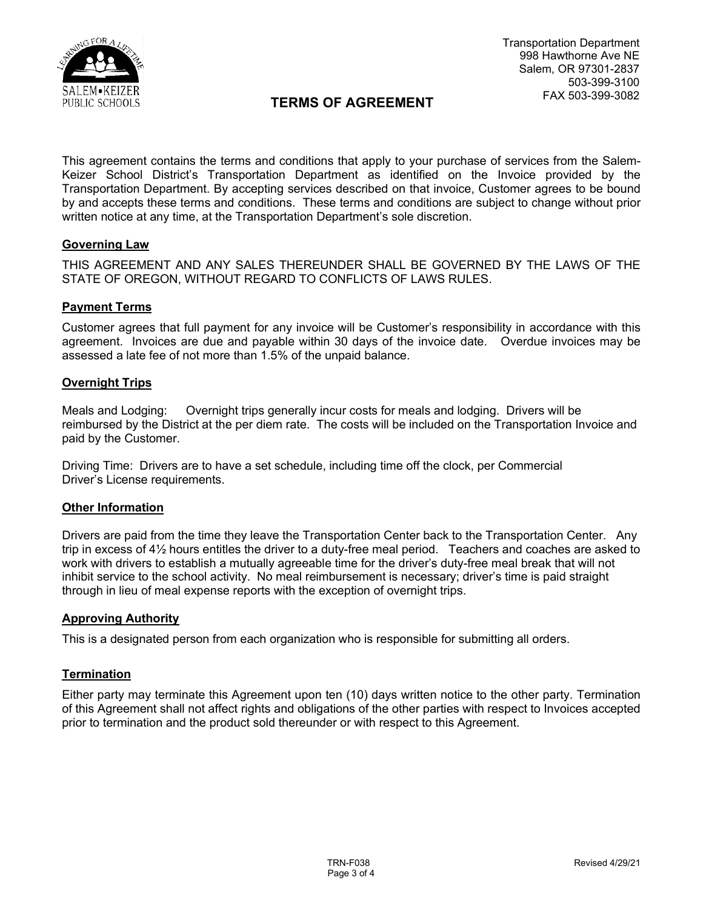

# **TERMS OF AGREEMENT**

This agreement contains the terms and conditions that apply to your purchase of services from the Salem-Keizer School District's Transportation Department as identified on the Invoice provided by the Transportation Department. By accepting services described on that invoice, Customer agrees to be bound by and accepts these terms and conditions. These terms and conditions are subject to change without prior written notice at any time, at the Transportation Department's sole discretion.

#### **Governing Law**

THIS AGREEMENT AND ANY SALES THEREUNDER SHALL BE GOVERNED BY THE LAWS OF THE STATE OF OREGON, WITHOUT REGARD TO CONFLICTS OF LAWS RULES.

#### **Payment Terms**

Customer agrees that full payment for any invoice will be Customer's responsibility in accordance with this agreement. Invoices are due and payable within 30 days of the invoice date. Overdue invoices may be assessed a late fee of not more than 1.5% of the unpaid balance.

#### **Overnight Trips**

Meals and Lodging: Overnight trips generally incur costs for meals and lodging. Drivers will be reimbursed by the District at the per diem rate. The costs will be included on the Transportation Invoice and paid by the Customer.

Driving Time: Drivers are to have a set schedule, including time off the clock, per Commercial Driver's License requirements.

#### **Other Information**

Drivers are paid from the time they leave the Transportation Center back to the Transportation Center. Any trip in excess of 4½ hours entitles the driver to a duty-free meal period. Teachers and coaches are asked to work with drivers to establish a mutually agreeable time for the driver's duty-free meal break that will not inhibit service to the school activity. No meal reimbursement is necessary; driver's time is paid straight through in lieu of meal expense reports with the exception of overnight trips.

#### **Approving Authority**

This is a designated person from each organization who is responsible for submitting all orders.

#### **Termination**

Either party may terminate this Agreement upon ten (10) days written notice to the other party. Termination of this Agreement shall not affect rights and obligations of the other parties with respect to Invoices accepted prior to termination and the product sold thereunder or with respect to this Agreement.